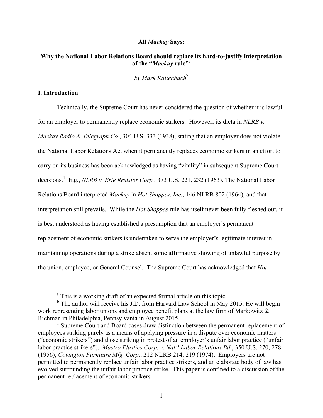## **All** *Mackay* **Says:**

# **Why the National Labor Relations Board should replace its hard-to-justify interpretation of the "***Mackay* **rule"**<sup>a</sup>

*by Mark Kaltenbach*<sup>b</sup>

## **I. Introduction**

<u> 1989 - Johann Barn, mars ann an t-Aonaich an t-Aonaich an t-Aonaich an t-Aonaich ann an t-Aonaich ann an t-Ao</u>

Technically, the Supreme Court has never considered the question of whether it is lawful for an employer to permanently replace economic strikers. However, its dicta in *NLRB v. Mackay Radio & Telegraph Co.*, 304 U.S. 333 (1938), stating that an employer does not violate the National Labor Relations Act when it permanently replaces economic strikers in an effort to carry on its business has been acknowledged as having "vitality" in subsequent Supreme Court decisions.<sup>1</sup> E.g., *NLRB v. Erie Resistor Corp.*, 373 U.S. 221, 232 (1963). The National Labor Relations Board interpreted *Mackay* in *Hot Shoppes, Inc.*, 146 NLRB 802 (1964), and that interpretation still prevails. While the *Hot Shoppes* rule has itself never been fully fleshed out, it is best understood as having established a presumption that an employer's permanent replacement of economic strikers is undertaken to serve the employer's legitimate interest in maintaining operations during a strike absent some affirmative showing of unlawful purpose by the union, employee, or General Counsel. The Supreme Court has acknowledged that *Hot* 

<sup>&</sup>lt;sup>a</sup> This is a working draft of an expected formal article on this topic.

<sup>&</sup>lt;sup>b</sup> The author will receive his J.D. from Harvard Law School in May 2015. He will begin work representing labor unions and employee benefit plans at the law firm of Markowitz & Richman in Philadelphia, Pennsylvania in August 2015.

<sup>&</sup>lt;sup>1</sup> Supreme Court and Board cases draw distinction between the permanent replacement of employees striking purely as a means of applying pressure in a dispute over economic matters ("economic strikers") and those striking in protest of an employer's unfair labor practice ("unfair labor practice strikers"). *Mastro Plastics Corp. v. Nat'l Labor Relations Bd.*, 350 U.S. 270, 278 (1956); *Covington Furniture Mfg. Corp.*, 212 NLRB 214, 219 (1974). Employers are not permitted to permanently replace unfair labor practice strikers, and an elaborate body of law has evolved surrounding the unfair labor practice strike. This paper is confined to a discussion of the permanent replacement of economic strikers.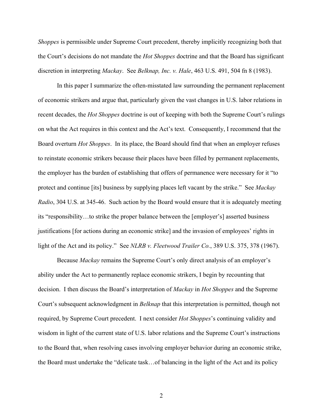*Shoppes* is permissible under Supreme Court precedent, thereby implicitly recognizing both that the Court's decisions do not mandate the *Hot Shoppes* doctrine and that the Board has significant discretion in interpreting *Mackay*. See *Belknap, Inc. v. Hale*, 463 U.S. 491, 504 fn 8 (1983).

 In this paper I summarize the often-misstated law surrounding the permanent replacement of economic strikers and argue that, particularly given the vast changes in U.S. labor relations in recent decades, the *Hot Shoppes* doctrine is out of keeping with both the Supreme Court's rulings on what the Act requires in this context and the Act's text. Consequently, I recommend that the Board overturn *Hot Shoppes*. In its place, the Board should find that when an employer refuses to reinstate economic strikers because their places have been filled by permanent replacements, the employer has the burden of establishing that offers of permanence were necessary for it "to protect and continue [its] business by supplying places left vacant by the strike." See *Mackay Radio*, 304 U.S. at 345-46.Such action by the Board would ensure that it is adequately meeting its "responsibility…to strike the proper balance between the [employer's] asserted business justifications [for actions during an economic strike] and the invasion of employees' rights in light of the Act and its policy." See *NLRB v. Fleetwood Trailer Co.*, 389 U.S. 375, 378 (1967).

 Because *Mackay* remains the Supreme Court's only direct analysis of an employer's ability under the Act to permanently replace economic strikers, I begin by recounting that decision. I then discuss the Board's interpretation of *Mackay* in *Hot Shoppes* and the Supreme Court's subsequent acknowledgment in *Belknap* that this interpretation is permitted, though not required, by Supreme Court precedent. I next consider *Hot Shoppes*'s continuing validity and wisdom in light of the current state of U.S. labor relations and the Supreme Court's instructions to the Board that, when resolving cases involving employer behavior during an economic strike, the Board must undertake the "delicate task…of balancing in the light of the Act and its policy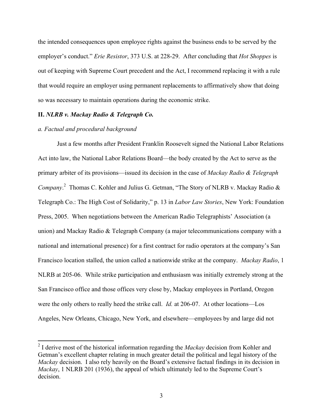the intended consequences upon employee rights against the business ends to be served by the employer's conduct." *Erie Resistor*, 373 U.S. at 228-29. After concluding that *Hot Shoppes* is out of keeping with Supreme Court precedent and the Act, I recommend replacing it with a rule that would require an employer using permanent replacements to affirmatively show that doing so was necessary to maintain operations during the economic strike.

## **II.** *NLRB v. Mackay Radio & Telegraph Co.*

#### *a. Factual and procedural background*

<u> 1989 - Johann Barn, mars ann an t-Aonaich an t-Aonaich an t-Aonaich an t-Aonaich ann an t-Aonaich ann an t-Ao</u>

Just a few months after President Franklin Roosevelt signed the National Labor Relations Act into law, the National Labor Relations Board—the body created by the Act to serve as the primary arbiter of its provisions—issued its decision in the case of *Mackay Radio & Telegraph*  Company.<sup>2</sup> Thomas C. Kohler and Julius G. Getman, "The Story of NLRB v. Mackay Radio & Telegraph Co.: The High Cost of Solidarity," p. 13 in *Labor Law Stories*, New York: Foundation Press, 2005. When negotiations between the American Radio Telegraphists' Association (a union) and Mackay Radio & Telegraph Company (a major telecommunications company with a national and international presence) for a first contract for radio operators at the company's San Francisco location stalled, the union called a nationwide strike at the company. *Mackay Radio*, 1 NLRB at 205-06. While strike participation and enthusiasm was initially extremely strong at the San Francisco office and those offices very close by, Mackay employees in Portland, Oregon were the only others to really heed the strike call. *Id.* at 206-07. At other locations—Los Angeles, New Orleans, Chicago, New York, and elsewhere—employees by and large did not

<sup>2</sup> I derive most of the historical information regarding the *Mackay* decision from Kohler and Getman's excellent chapter relating in much greater detail the political and legal history of the *Mackay* decision. I also rely heavily on the Board's extensive factual findings in its decision in *Mackay*, 1 NLRB 201 (1936), the appeal of which ultimately led to the Supreme Court's decision.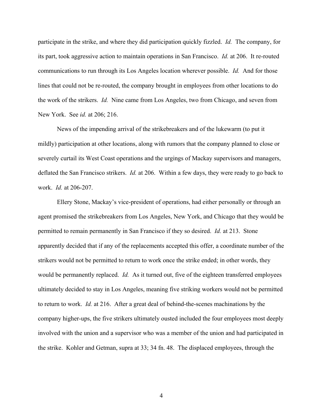participate in the strike, and where they did participation quickly fizzled. *Id.* The company, for its part, took aggressive action to maintain operations in San Francisco. *Id.* at 206. It re-routed communications to run through its Los Angeles location wherever possible. *Id.* And for those lines that could not be re-routed, the company brought in employees from other locations to do the work of the strikers. *Id.* Nine came from Los Angeles, two from Chicago, and seven from New York. See *id.* at 206; 216.

News of the impending arrival of the strikebreakers and of the lukewarm (to put it mildly) participation at other locations, along with rumors that the company planned to close or severely curtail its West Coast operations and the urgings of Mackay supervisors and managers, deflated the San Francisco strikers. *Id.* at 206. Within a few days, they were ready to go back to work. *Id.* at 206-207.

 Ellery Stone, Mackay's vice-president of operations, had either personally or through an agent promised the strikebreakers from Los Angeles, New York, and Chicago that they would be permitted to remain permanently in San Francisco if they so desired. *Id.* at 213. Stone apparently decided that if any of the replacements accepted this offer, a coordinate number of the strikers would not be permitted to return to work once the strike ended; in other words, they would be permanently replaced. *Id.* As it turned out, five of the eighteen transferred employees ultimately decided to stay in Los Angeles, meaning five striking workers would not be permitted to return to work. *Id.* at 216. After a great deal of behind-the-scenes machinations by the company higher-ups, the five strikers ultimately ousted included the four employees most deeply involved with the union and a supervisor who was a member of the union and had participated in the strike. Kohler and Getman, supra at 33; 34 fn. 48. The displaced employees, through the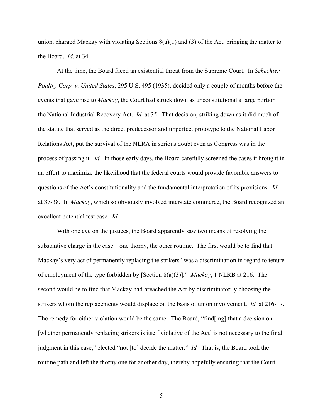union, charged Mackay with violating Sections 8(a)(1) and (3) of the Act, bringing the matter to the Board. *Id.* at 34.

 At the time, the Board faced an existential threat from the Supreme Court. In *Schechter Poultry Corp. v. United States*, 295 U.S. 495 (1935), decided only a couple of months before the events that gave rise to *Mackay*, the Court had struck down as unconstitutional a large portion the National Industrial Recovery Act. *Id.* at 35. That decision, striking down as it did much of the statute that served as the direct predecessor and imperfect prototype to the National Labor Relations Act, put the survival of the NLRA in serious doubt even as Congress was in the process of passing it. *Id.* In those early days, the Board carefully screened the cases it brought in an effort to maximize the likelihood that the federal courts would provide favorable answers to questions of the Act's constitutionality and the fundamental interpretation of its provisions. *Id.*  at 37-38. In *Mackay*, which so obviously involved interstate commerce, the Board recognized an excellent potential test case. *Id.*

 With one eye on the justices, the Board apparently saw two means of resolving the substantive charge in the case—one thorny, the other routine. The first would be to find that Mackay's very act of permanently replacing the strikers "was a discrimination in regard to tenure of employment of the type forbidden by [Section 8(a)(3)]." *Mackay*, 1 NLRB at 216. The second would be to find that Mackay had breached the Act by discriminatorily choosing the strikers whom the replacements would displace on the basis of union involvement. *Id.* at 216-17. The remedy for either violation would be the same. The Board, "find[ing] that a decision on [whether permanently replacing strikers is itself violative of the Act] is not necessary to the final judgment in this case," elected "not [to] decide the matter." *Id.* That is, the Board took the routine path and left the thorny one for another day, thereby hopefully ensuring that the Court,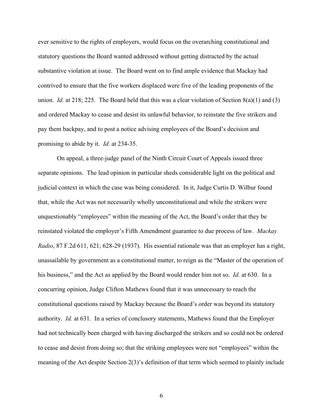ever sensitive to the rights of employers, would focus on the overarching constitutional and statutory questions the Board wanted addressed without getting distracted by the actual substantive violation at issue. The Board went on to find ample evidence that Mackay had contrived to ensure that the five workers displaced were five of the leading proponents of the union. *Id.* at 218; 225. The Board held that this was a clear violation of Section 8(a)(1) and (3) and ordered Mackay to cease and desist its unlawful behavior, to reinstate the five strikers and pay them backpay, and to post a notice advising employees of the Board's decision and promising to abide by it. *Id.* at 234-35.

 On appeal, a three-judge panel of the Ninth Circuit Court of Appeals issued three separate opinions. The lead opinion in particular sheds considerable light on the political and judicial context in which the case was being considered. In it, Judge Curtis D. Wilbur found that, while the Act was not necessarily wholly unconstitutional and while the strikers were unquestionably "employees" within the meaning of the Act, the Board's order that they be reinstated violated the employer's Fifth Amendment guarantee to due process of law. *Mackay Radio*, 87 F.2d 611, 621; 628-29 (1937). His essential rationale was that an employer has a right, unassailable by government as a constitutional matter, to reign as the "Master of the operation of his business," and the Act as applied by the Board would render him not so. *Id.* at 630. In a concurring opinion, Judge Clifton Mathews found that it was unnecessary to reach the constitutional questions raised by Mackay because the Board's order was beyond its statutory authority. *Id.* at 631. In a series of conclusory statements, Mathews found that the Employer had not technically been charged with having discharged the strikers and so could not be ordered to cease and desist from doing so; that the striking employees were not "employees" within the meaning of the Act despite Section 2(3)'s definition of that term which seemed to plainly include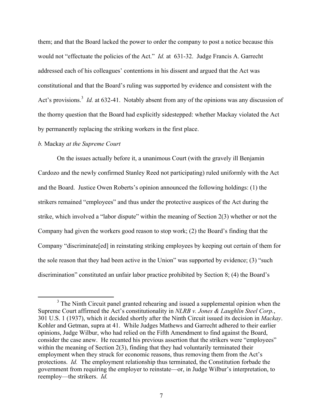them; and that the Board lacked the power to order the company to post a notice because this would not "effectuate the policies of the Act." *Id.* at 631-32. Judge Francis A. Garrecht addressed each of his colleagues' contentions in his dissent and argued that the Act was constitutional and that the Board's ruling was supported by evidence and consistent with the Act's provisions.<sup>3</sup> *Id.* at 632-41. Notably absent from any of the opinions was any discussion of the thorny question that the Board had explicitly sidestepped: whether Mackay violated the Act by permanently replacing the striking workers in the first place.

### *b.* Mackay *at the Supreme Court*

<u> 1989 - Johann Barn, mars ann an t-Aonaich an t-Aonaich an t-Aonaich an t-Aonaich ann an t-Aonaich ann an t-Ao</u>

 On the issues actually before it, a unanimous Court (with the gravely ill Benjamin Cardozo and the newly confirmed Stanley Reed not participating) ruled uniformly with the Act and the Board. Justice Owen Roberts's opinion announced the following holdings: (1) the strikers remained "employees" and thus under the protective auspices of the Act during the strike, which involved a "labor dispute" within the meaning of Section 2(3) whether or not the Company had given the workers good reason to stop work; (2) the Board's finding that the Company "discriminate[ed] in reinstating striking employees by keeping out certain of them for the sole reason that they had been active in the Union" was supported by evidence; (3) "such discrimination" constituted an unfair labor practice prohibited by Section 8; (4) the Board's

 $3$  The Ninth Circuit panel granted rehearing and issued a supplemental opinion when the Supreme Court affirmed the Act's constitutionality in *NLRB v. Jones & Laughlin Steel Corp.*, 301 U.S. 1 (1937), which it decided shortly after the Ninth Circuit issued its decision in *Mackay*. Kohler and Getman, supra at 41. While Judges Mathews and Garrecht adhered to their earlier opinions, Judge Wilbur, who had relied on the Fifth Amendment to find against the Board, consider the case anew. He recanted his previous assertion that the strikers were "employees" within the meaning of Section 2(3), finding that they had voluntarily terminated their employment when they struck for economic reasons, thus removing them from the Act's protections. *Id.* The employment relationship thus terminated, the Constitution forbade the government from requiring the employer to reinstate—or, in Judge Wilbur's interpretation, to reemploy—the strikers. *Id.*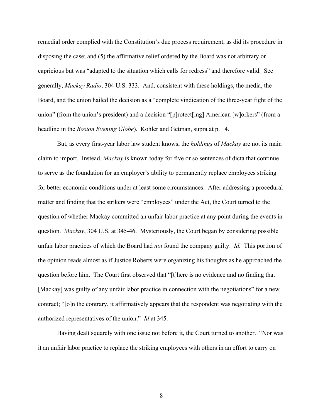remedial order complied with the Constitution's due process requirement, as did its procedure in disposing the case; and (5) the affirmative relief ordered by the Board was not arbitrary or capricious but was "adapted to the situation which calls for redress" and therefore valid. See generally, *Mackay Radio*, 304 U.S. 333. And, consistent with these holdings, the media, the Board, and the union hailed the decision as a "complete vindication of the three-year fight of the union" (from the union's president) and a decision "[p]rotect[ing] American [w]orkers" (from a headline in the *Boston Evening Globe*). Kohler and Getman, supra at p. 14.

But, as every first-year labor law student knows, the *holdings* of *Mackay* are not its main claim to import. Instead, *Mackay* is known today for five or so sentences of dicta that continue to serve as the foundation for an employer's ability to permanently replace employees striking for better economic conditions under at least some circumstances. After addressing a procedural matter and finding that the strikers were "employees" under the Act, the Court turned to the question of whether Mackay committed an unfair labor practice at any point during the events in question. *Mackay*, 304 U.S. at 345-46. Mysteriously, the Court began by considering possible unfair labor practices of which the Board had *not* found the company guilty. *Id.* This portion of the opinion reads almost as if Justice Roberts were organizing his thoughts as he approached the question before him. The Court first observed that "[t]here is no evidence and no finding that [Mackay] was guilty of any unfair labor practice in connection with the negotiations" for a new contract; "[o]n the contrary, it affirmatively appears that the respondent was negotiating with the authorized representatives of the union." *Id* at 345.

Having dealt squarely with one issue not before it, the Court turned to another. "Nor was it an unfair labor practice to replace the striking employees with others in an effort to carry on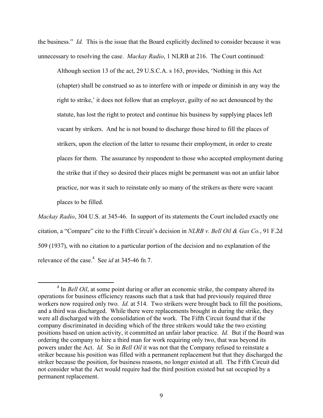the business." *Id.* This is the issue that the Board explicitly declined to consider because it was unnecessary to resolving the case. *Mackay Radio*, 1 NLRB at 216. The Court continued:

Although section 13 of the act, 29 U.S.C.A. s 163, provides, 'Nothing in this Act (chapter) shall be construed so as to interfere with or impede or diminish in any way the right to strike,' it does not follow that an employer, guilty of no act denounced by the statute, has lost the right to protect and continue his business by supplying places left vacant by strikers. And he is not bound to discharge those hired to fill the places of strikers, upon the election of the latter to resume their employment, in order to create places for them. The assurance by respondent to those who accepted employment during the strike that if they so desired their places might be permanent was not an unfair labor practice, nor was it such to reinstate only so many of the strikers as there were vacant places to be filled.

*Mackay Radio*, 304 U.S. at 345-46. In support of its statements the Court included exactly one citation, a "Compare" cite to the Fifth Circuit's decision in *NLRB v. Bell Oil & Gas Co.*, 91 F.2d 509 (1937), with no citation to a particular portion of the decision and no explanation of the relevance of the case.<sup>4</sup> See *id* at 345-46 fn 7.

<u> 2002 - John Stone, Amerikan besteht der Stone (</u>

<sup>&</sup>lt;sup>4</sup> In *Bell Oil*, at some point during or after an economic strike, the company altered its operations for business efficiency reasons such that a task that had previously required three workers now required only two. *Id.* at 514. Two strikers were brought back to fill the positions, and a third was discharged. While there were replacements brought in during the strike, they were all discharged with the consolidation of the work. The Fifth Circuit found that if the company discriminated in deciding which of the three strikers would take the two existing positions based on union activity, it committed an unfair labor practice. *Id.* But if the Board was ordering the company to hire a third man for work requiring only two, that was beyond its powers under the Act. *Id.* So in *Bell Oil* it was not that the Company refused to reinstate a striker because his position was filled with a permanent replacement but that they discharged the striker because the position, for business reasons, no longer existed at all. The Fifth Circuit did not consider what the Act would require had the third position existed but sat occupied by a permanent replacement.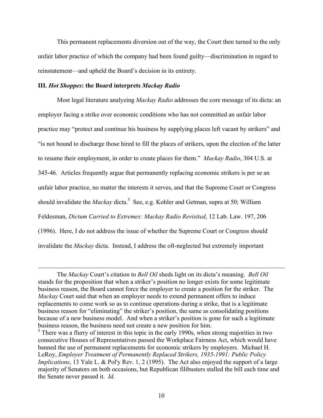This permanent replacements diversion out of the way, the Court then turned to the only unfair labor practice of which the company had been found guilty—discrimination in regard to reinstatement—and upheld the Board's decision in its entirety.

## **III.** *Hot Shoppes***: the Board interprets** *Mackay Radio*

Most legal literature analyzing *Mackay Radio* addresses the core message of its dicta: an employer facing a strike over economic conditions who has not committed an unfair labor practice may "protect and continue his business by supplying places left vacant by strikers" and "is not bound to discharge those hired to fill the places of strikers, upon the election of the latter to resume their employment, in order to create places for them." *Mackay Radio*, 304 U.S. at 345-46. Articles frequently argue that permanently replacing economic strikers is per se an unfair labor practice, no matter the interests it serves, and that the Supreme Court or Congress should invalidate the *Mackay* dicta.<sup>5</sup> See, e.g. Kohler and Getman, supra at 50; William Feldesman, *Dictum Carried to Extremes: Mackay Radio Revisited*, 12 Lab. Law. 197, 206 (1996). Here, I do not address the issue of whether the Supreme Court or Congress should invalidate the *Mackay* dicta. Instead, I address the oft-neglected but extremely important

<u> 1989 - Andrea Santa Andrea Andrea Andrea Andrea Andrea Andrea Andrea Andrea Andrea Andrea Andrea Andrea Andr</u>

The *Mackay* Court's citation to *Bell Oil* sheds light on its dicta's meaning. *Bell Oil*  stands for the proposition that when a striker's position no longer exists for some legitimate business reason, the Board cannot force the employer to create a position for the striker. The *Mackay* Court said that when an employer needs to extend permanent offers to induce replacements to come work so as to continue operations during a strike, that is a legitimate business reason for "eliminating" the striker's position, the same as consolidating positions because of a new business model. And when a striker's position is gone for such a legitimate business reason, the business need not create a new position for him.

 $<sup>5</sup>$  There was a flurry of interest in this topic in the early 1990s, when strong majorities in two</sup> consecutive Houses of Representatives passed the Workplace Fairness Act, which would have banned the use of permanent replacements for economic strikers by employers. Michael H. LeRoy, *Employer Treatment of Permanently Replaced Strikers, 1935-1991: Public Policy Implications*, 13 Yale L. & Pol'y Rev. 1, 2 (1995). The Act also enjoyed the support of a large majority of Senators on both occasions, but Republican filibusters stalled the bill each time and the Senate never passed it. *Id.*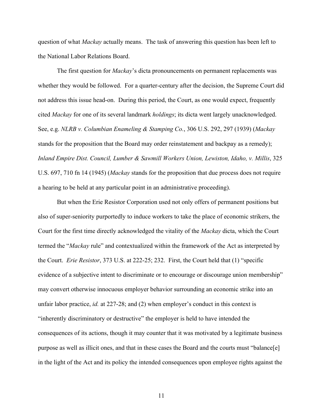question of what *Mackay* actually means. The task of answering this question has been left to the National Labor Relations Board.

 The first question for *Mackay*'s dicta pronouncements on permanent replacements was whether they would be followed. For a quarter-century after the decision, the Supreme Court did not address this issue head-on. During this period, the Court, as one would expect, frequently cited *Mackay* for one of its several landmark *holdings*; its dicta went largely unacknowledged. See, e.g. *NLRB v. Columbian Enameling & Stamping Co.*, 306 U.S. 292, 297 (1939) (*Mackay*  stands for the proposition that the Board may order reinstatement and backpay as a remedy); *Inland Empire Dist. Council, Lumber & Sawmill Workers Union, Lewiston, Idaho, v. Millis*, 325 U.S. 697, 710 fn 14 (1945) (*Mackay* stands for the proposition that due process does not require a hearing to be held at any particular point in an administrative proceeding).

But when the Erie Resistor Corporation used not only offers of permanent positions but also of super-seniority purportedly to induce workers to take the place of economic strikers, the Court for the first time directly acknowledged the vitality of the *Mackay* dicta, which the Court termed the "*Mackay* rule" and contextualized within the framework of the Act as interpreted by the Court. *Erie Resistor*, 373 U.S. at 222-25; 232. First, the Court held that (1) "specific evidence of a subjective intent to discriminate or to encourage or discourage union membership" may convert otherwise innocuous employer behavior surrounding an economic strike into an unfair labor practice, *id.* at 227-28; and (2) when employer's conduct in this context is "inherently discriminatory or destructive" the employer is held to have intended the consequences of its actions, though it may counter that it was motivated by a legitimate business purpose as well as illicit ones, and that in these cases the Board and the courts must "balance[e] in the light of the Act and its policy the intended consequences upon employee rights against the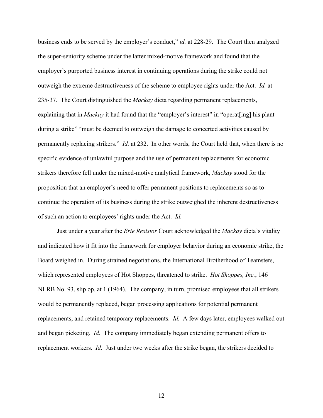business ends to be served by the employer's conduct," *id.* at 228-29. The Court then analyzed the super-seniority scheme under the latter mixed-motive framework and found that the employer's purported business interest in continuing operations during the strike could not outweigh the extreme destructiveness of the scheme to employee rights under the Act. *Id.* at 235-37. The Court distinguished the *Mackay* dicta regarding permanent replacements, explaining that in *Mackay* it had found that the "employer's interest" in "operat [ing] his plant during a strike" "must be deemed to outweigh the damage to concerted activities caused by permanently replacing strikers." *Id.* at 232. In other words, the Court held that, when there is no specific evidence of unlawful purpose and the use of permanent replacements for economic strikers therefore fell under the mixed-motive analytical framework, *Mackay* stood for the proposition that an employer's need to offer permanent positions to replacements so as to continue the operation of its business during the strike outweighed the inherent destructiveness of such an action to employees' rights under the Act. *Id.* 

 Just under a year after the *Erie Resistor* Court acknowledged the *Mackay* dicta's vitality and indicated how it fit into the framework for employer behavior during an economic strike, the Board weighed in. During strained negotiations, the International Brotherhood of Teamsters, which represented employees of Hot Shoppes, threatened to strike. *Hot Shoppes, Inc.*, 146 NLRB No. 93, slip op. at 1 (1964). The company, in turn, promised employees that all strikers would be permanently replaced, began processing applications for potential permanent replacements, and retained temporary replacements. *Id.* A few days later, employees walked out and began picketing. *Id.* The company immediately began extending permanent offers to replacement workers. *Id.* Just under two weeks after the strike began, the strikers decided to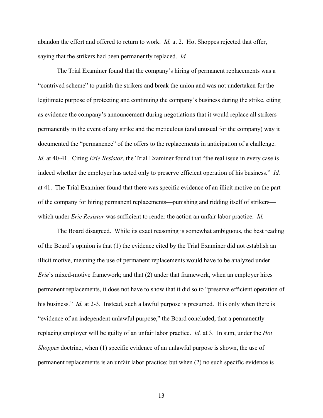abandon the effort and offered to return to work. *Id.* at 2. Hot Shoppes rejected that offer, saying that the strikers had been permanently replaced. *Id.* 

 The Trial Examiner found that the company's hiring of permanent replacements was a "contrived scheme" to punish the strikers and break the union and was not undertaken for the legitimate purpose of protecting and continuing the company's business during the strike, citing as evidence the company's announcement during negotiations that it would replace all strikers permanently in the event of any strike and the meticulous (and unusual for the company) way it documented the "permanence" of the offers to the replacements in anticipation of a challenge. *Id.* at 40-41. Citing *Erie Resistor*, the Trial Examiner found that "the real issue in every case is indeed whether the employer has acted only to preserve efficient operation of his business." *Id.* at 41. The Trial Examiner found that there was specific evidence of an illicit motive on the part of the company for hiring permanent replacements—punishing and ridding itself of strikers which under *Erie Resistor* was sufficient to render the action an unfair labor practice. *Id.*

 The Board disagreed. While its exact reasoning is somewhat ambiguous, the best reading of the Board's opinion is that (1) the evidence cited by the Trial Examiner did not establish an illicit motive, meaning the use of permanent replacements would have to be analyzed under *Erie*'s mixed-motive framework; and that (2) under that framework, when an employer hires permanent replacements, it does not have to show that it did so to "preserve efficient operation of his business." *Id.* at 2-3. Instead, such a lawful purpose is presumed. It is only when there is "evidence of an independent unlawful purpose," the Board concluded, that a permanently replacing employer will be guilty of an unfair labor practice. *Id.* at 3. In sum, under the *Hot Shoppes* doctrine, when (1) specific evidence of an unlawful purpose is shown, the use of permanent replacements is an unfair labor practice; but when (2) no such specific evidence is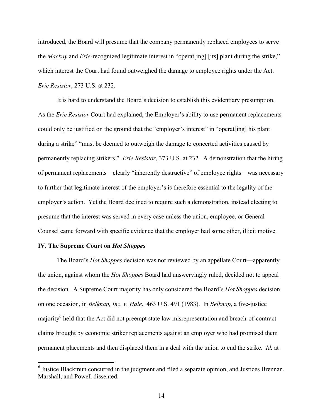introduced, the Board will presume that the company permanently replaced employees to serve the *Mackay* and *Erie*-recognized legitimate interest in "operat[ing] [its] plant during the strike," which interest the Court had found outweighed the damage to employee rights under the Act. *Erie Resistor*, 273 U.S. at 232.

 It is hard to understand the Board's decision to establish this evidentiary presumption. As the *Erie Resistor* Court had explained, the Employer's ability to use permanent replacements could only be justified on the ground that the "employer's interest" in "operat[ing] his plant during a strike" "must be deemed to outweigh the damage to concerted activities caused by permanently replacing strikers." *Erie Resistor*, 373 U.S. at 232. A demonstration that the hiring of permanent replacements—clearly "inherently destructive" of employee rights—was necessary to further that legitimate interest of the employer's is therefore essential to the legality of the employer's action. Yet the Board declined to require such a demonstration, instead electing to presume that the interest was served in every case unless the union, employee, or General Counsel came forward with specific evidence that the employer had some other, illicit motive.

#### **IV. The Supreme Court on** *Hot Shoppes*

 The Board's *Hot Shoppes* decision was not reviewed by an appellate Court—apparently the union, against whom the *Hot Shoppes* Board had unswervingly ruled, decided not to appeal the decision. A Supreme Court majority has only considered the Board's *Hot Shoppes* decision on one occasion, in *Belknap, Inc. v. Hale*. 463 U.S. 491 (1983). In *Belknap*, a five-justice majority<sup>6</sup> held that the Act did not preempt state law misrepresentation and breach-of-contract claims brought by economic striker replacements against an employer who had promised them permanent placements and then displaced them in a deal with the union to end the strike. *Id.* at

<sup>&</sup>lt;sup>6</sup> Justice Blackmun concurred in the judgment and filed a separate opinion, and Justices Brennan, Marshall, and Powell dissented.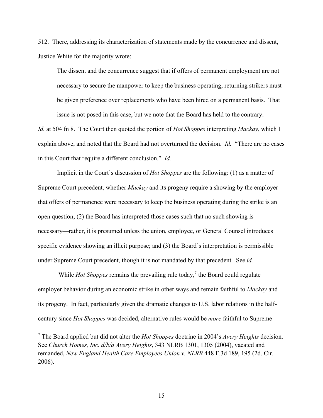512. There, addressing its characterization of statements made by the concurrence and dissent, Justice White for the majority wrote:

The dissent and the concurrence suggest that if offers of permanent employment are not necessary to secure the manpower to keep the business operating, returning strikers must be given preference over replacements who have been hired on a permanent basis. That issue is not posed in this case, but we note that the Board has held to the contrary.

*Id.* at 504 fn 8. The Court then quoted the portion of *Hot Shoppes* interpreting *Mackay*, which I explain above, and noted that the Board had not overturned the decision. *Id.* "There are no cases in this Court that require a different conclusion." *Id.*

Implicit in the Court's discussion of *Hot Shoppes* are the following: (1) as a matter of Supreme Court precedent, whether *Mackay* and its progeny require a showing by the employer that offers of permanence were necessary to keep the business operating during the strike is an open question; (2) the Board has interpreted those cases such that no such showing is necessary—rather, it is presumed unless the union, employee, or General Counsel introduces specific evidence showing an illicit purpose; and (3) the Board's interpretation is permissible under Supreme Court precedent, though it is not mandated by that precedent. See *id.* 

While *Hot Shoppes* remains the prevailing rule today,<sup>7</sup> the Board could regulate employer behavior during an economic strike in other ways and remain faithful to *Mackay* and its progeny. In fact, particularly given the dramatic changes to U.S. labor relations in the halfcentury since *Hot Shoppes* was decided, alternative rules would be *more* faithful to Supreme

<u> 2002 - John Stone, Amerikan besteht der Stone (</u>

<sup>7</sup> The Board applied but did not alter the *Hot Shoppes* doctrine in 2004's *Avery Heights* decision. See *Church Homes, Inc. d/b/a Avery Heights*, 343 NLRB 1301, 1305 (2004), vacated and remanded, *New England Health Care Employees Union v. NLRB* 448 F.3d 189, 195 (2d. Cir. 2006).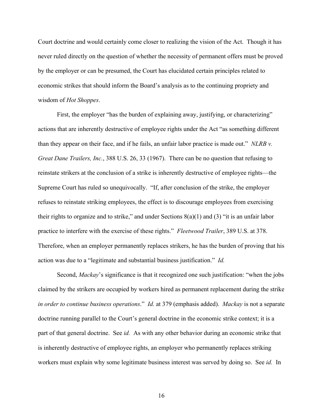Court doctrine and would certainly come closer to realizing the vision of the Act. Though it has never ruled directly on the question of whether the necessity of permanent offers must be proved by the employer or can be presumed, the Court has elucidated certain principles related to economic strikes that should inform the Board's analysis as to the continuing propriety and wisdom of *Hot Shoppes*.

First, the employer "has the burden of explaining away, justifying, or characterizing" actions that are inherently destructive of employee rights under the Act "as something different than they appear on their face, and if he fails, an unfair labor practice is made out." *NLRB v. Great Dane Trailers, Inc.*, 388 U.S. 26, 33 (1967). There can be no question that refusing to reinstate strikers at the conclusion of a strike is inherently destructive of employee rights—the Supreme Court has ruled so unequivocally. "If, after conclusion of the strike, the employer refuses to reinstate striking employees, the effect is to discourage employees from exercising their rights to organize and to strike," and under Sections  $8(a)(1)$  and  $(3)$  "it is an unfair labor practice to interfere with the exercise of these rights." *Fleetwood Trailer*, 389 U.S. at 378. Therefore, when an employer permanently replaces strikers, he has the burden of proving that his action was due to a "legitimate and substantial business justification." *Id.* 

Second, *Mackay*'s significance is that it recognized one such justification: "when the jobs claimed by the strikers are occupied by workers hired as permanent replacement during the strike *in order to continue business operations*." *Id.* at 379 (emphasis added). *Mackay* is not a separate doctrine running parallel to the Court's general doctrine in the economic strike context; it is a part of that general doctrine. See *id.* As with any other behavior during an economic strike that is inherently destructive of employee rights, an employer who permanently replaces striking workers must explain why some legitimate business interest was served by doing so. See *id.* In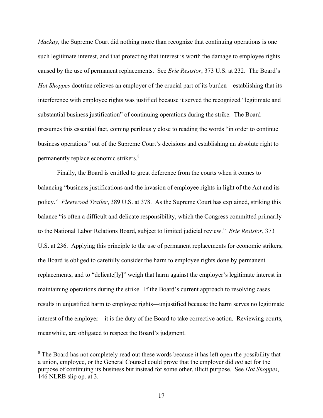*Mackay*, the Supreme Court did nothing more than recognize that continuing operations is one such legitimate interest, and that protecting that interest is worth the damage to employee rights caused by the use of permanent replacements. See *Erie Resistor*, 373 U.S. at 232. The Board's *Hot Shoppes* doctrine relieves an employer of the crucial part of its burden—establishing that its interference with employee rights was justified because it served the recognized "legitimate and substantial business justification" of continuing operations during the strike. The Board presumes this essential fact, coming perilously close to reading the words "in order to continue business operations" out of the Supreme Court's decisions and establishing an absolute right to permanently replace economic strikers.<sup>8</sup>

 Finally, the Board is entitled to great deference from the courts when it comes to balancing "business justifications and the invasion of employee rights in light of the Act and its policy." *Fleetwood Trailer*, 389 U.S. at 378. As the Supreme Court has explained, striking this balance "is often a difficult and delicate responsibility, which the Congress committed primarily to the National Labor Relations Board, subject to limited judicial review." *Erie Resistor*, 373 U.S. at 236. Applying this principle to the use of permanent replacements for economic strikers, the Board is obliged to carefully consider the harm to employee rights done by permanent replacements, and to "delicate[ly]" weigh that harm against the employer's legitimate interest in maintaining operations during the strike. If the Board's current approach to resolving cases results in unjustified harm to employee rights—unjustified because the harm serves no legitimate interest of the employer—it is the duty of the Board to take corrective action. Reviewing courts, meanwhile, are obligated to respect the Board's judgment.

<u> 1989 - Johann Barn, mars ann an t-Aonaich an t-Aonaich an t-Aonaich an t-Aonaich ann an t-Aonaich ann an t-Ao</u>

<sup>&</sup>lt;sup>8</sup> The Board has not completely read out these words because it has left open the possibility that a union, employee, or the General Counsel could prove that the employer did *not* act for the purpose of continuing its business but instead for some other, illicit purpose. See *Hot Shoppes*, 146 NLRB slip op. at 3.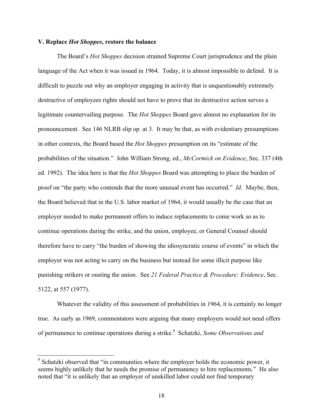### **V. Replace** *Hot Shoppes***, restore the balance**

<u> 2002 - John Stone, Amerikan besteht der Stone (</u>

The Board's *Hot Shoppes* decision strained Supreme Court jurisprudence and the plain language of the Act when it was issued in 1964. Today, it is almost impossible to defend. It is difficult to puzzle out why an employer engaging in activity that is unquestionably extremely destructive of employees rights should not have to prove that its destructive action serves a legitimate countervailing purpose. The *Hot Shoppes* Board gave almost no explanation for its pronouncement. See 146 NLRB slip op. at 3. It may be that, as with evidentiary presumptions in other contexts, the Board based the *Hot Shoppes* presumption on its "estimate of the probabilities of the situation." John William Strong, ed., *McCormick on Evidence*, Sec. 337 (4th ed. 1992). The idea here is that the *Hot Shoppes* Board was attempting to place the burden of proof on "the party who contends that the more unusual event has occurred." *Id.* Maybe, then, the Board believed that in the U.S. labor market of 1964, it would usually be the case that an employer needed to make permanent offers to induce replacements to come work so as to continue operations during the strike, and the union, employee, or General Counsel should therefore have to carry "the burden of showing the idiosyncratic course of events" in which the employer was not acting to carry on the business but instead for some illicit purpose like punishing strikers or ousting the union. See *21 Federal Practice & Procedure: Evidence*, Sec. 5122, at 557 (1977).

 Whatever the validity of this assessment of probabilities in 1964, it is certainly no longer true. As early as 1969, commentators were arguing that many employers would not need offers of permanence to continue operations during a strike.<sup>9</sup> Schatzki, Some Observations and

<sup>9</sup> Schatzki observed that "in communities where the employer holds the economic power, it seems highly unlikely that he needs the promise of permanency to hire replacements." He also noted that "it is unlikely that an employer of unskilled labor could not find temporary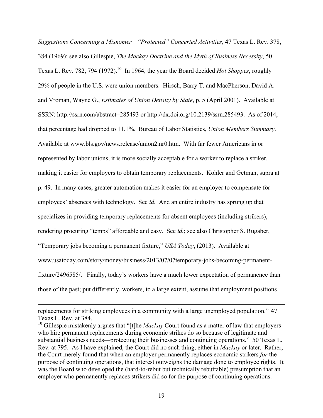*Suggestions Concerning a Misnomer—"Protected" Concerted Activities*, 47 Texas L. Rev. 378, 384 (1969); see also Gillespie, *The Mackay Doctrine and the Myth of Business Necessity*, 50 Texas L. Rev. 782, 794 (1972).<sup>10</sup> In 1964, the year the Board decided *Hot Shoppes*, roughly 29% of people in the U.S. were union members. Hirsch, Barry T. and MacPherson, David A. and Vroman, Wayne G., *Estimates of Union Density by State*, p. 5 (April 2001). Available at SSRN: http://ssrn.com/abstract=285493 or http://dx.doi.org/10.2139/ssrn.285493. As of 2014, that percentage had dropped to 11.1%. Bureau of Labor Statistics, *Union Members Summary*. Available at www.bls.gov/news.release/union2.nr0.htm. With far fewer Americans in or represented by labor unions, it is more socially acceptable for a worker to replace a striker, making it easier for employers to obtain temporary replacements. Kohler and Getman, supra at p. 49. In many cases, greater automation makes it easier for an employer to compensate for employees' absences with technology. See *id.* And an entire industry has sprung up that specializes in providing temporary replacements for absent employees (including strikers), rendering procuring "temps" affordable and easy. See *id.*; see also Christopher S. Rugaber, "Temporary jobs becoming a permanent fixture," *USA Today*, (2013). Available at www.usatoday.com/story/money/business/2013/07/07temporary-jobs-becoming-permanentfixture/2496585/. Finally, today's workers have a much lower expectation of permanence than those of the past; put differently, workers, to a large extent, assume that employment positions

<u> 1989 - Andrea San Andrea San Andrea San Andrea San Andrea San Andrea San Andrea San Andrea San Andrea San An</u>

replacements for striking employees in a community with a large unemployed population." 47 Texas L. Rev. at 384.

<sup>&</sup>lt;sup>10</sup> Gillespie mistakenly argues that "[t]he *Mackay* Court found as a matter of law that employers who hire permanent replacements during economic strikes do so because of legitimate and substantial business needs—protecting their businesses and continuing operations." 50 Texas L. Rev. at 795. As I have explained, the Court did no such thing, either in *Mackay* or later. Rather, the Court merely found that when an employer permanently replaces economic strikers *for* the purpose of continuing operations, that interest outweighs the damage done to employee rights. It was the Board who developed the (hard-to-rebut but technically rebuttable) presumption that an employer who permanently replaces strikers did so for the purpose of continuing operations.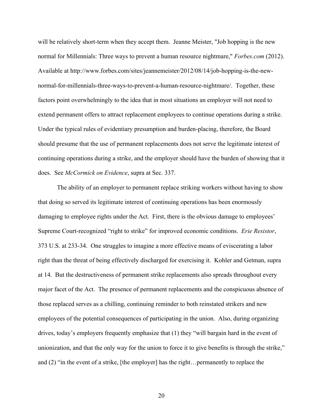will be relatively short-term when they accept them. Jeanne Meister, "Job hopping is the new normal for Millennials: Three ways to prevent a human resource nightmare," *Forbes.com* (2012). Available at http://www.forbes.com/sites/jeannemeister/2012/08/14/job-hopping-is-the-newnormal-for-millennials-three-ways-to-prevent-a-human-resource-nightmare/. Together, these factors point overwhelmingly to the idea that in most situations an employer will not need to extend permanent offers to attract replacement employees to continue operations during a strike. Under the typical rules of evidentiary presumption and burden-placing, therefore, the Board should presume that the use of permanent replacements does not serve the legitimate interest of continuing operations during a strike, and the employer should have the burden of showing that it does. See *McCormick on Evidence*, supra at Sec. 337.

 The ability of an employer to permanent replace striking workers without having to show that doing so served its legitimate interest of continuing operations has been enormously damaging to employee rights under the Act. First, there is the obvious damage to employees' Supreme Court-recognized "right to strike" for improved economic conditions. *Erie Resistor*, 373 U.S. at 233-34. One struggles to imagine a more effective means of eviscerating a labor right than the threat of being effectively discharged for exercising it. Kohler and Getman, supra at 14. But the destructiveness of permanent strike replacements also spreads throughout every major facet of the Act. The presence of permanent replacements and the conspicuous absence of those replaced serves as a chilling, continuing reminder to both reinstated strikers and new employees of the potential consequences of participating in the union. Also, during organizing drives, today's employers frequently emphasize that (1) they "will bargain hard in the event of unionization, and that the only way for the union to force it to give benefits is through the strike," and (2) "in the event of a strike, [the employer] has the right…permanently to replace the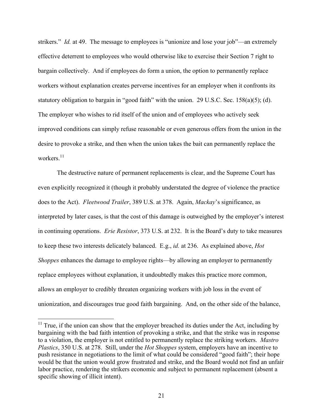strikers." *Id.* at 49. The message to employees is "unionize and lose your job"—an extremely effective deterrent to employees who would otherwise like to exercise their Section 7 right to bargain collectively. And if employees do form a union, the option to permanently replace workers without explanation creates perverse incentives for an employer when it confronts its statutory obligation to bargain in "good faith" with the union. 29 U.S.C. Sec. 158(a)(5); (d). The employer who wishes to rid itself of the union and of employees who actively seek improved conditions can simply refuse reasonable or even generous offers from the union in the desire to provoke a strike, and then when the union takes the bait can permanently replace the workers.<sup>11</sup>

 The destructive nature of permanent replacements is clear, and the Supreme Court has even explicitly recognized it (though it probably understated the degree of violence the practice does to the Act). *Fleetwood Trailer*, 389 U.S. at 378. Again, *Mackay*'s significance, as interpreted by later cases, is that the cost of this damage is outweighed by the employer's interest in continuing operations. *Erie Resistor*, 373 U.S. at 232. It is the Board's duty to take measures to keep these two interests delicately balanced. E.g., *id.* at 236. As explained above, *Hot Shoppes* enhances the damage to employee rights—by allowing an employer to permanently replace employees without explanation, it undoubtedly makes this practice more common, allows an employer to credibly threaten organizing workers with job loss in the event of unionization, and discourages true good faith bargaining. And, on the other side of the balance,

 $11$  True, if the union can show that the employer breached its duties under the Act, including by bargaining with the bad faith intention of provoking a strike, and that the strike was in response to a violation, the employer is not entitled to permanently replace the striking workers. *Mastro Plastics*, 350 U.S. at 278. Still, under the *Hot Shoppes* system, employers have an incentive to push resistance in negotiations to the limit of what could be considered "good faith"; their hope would be that the union would grow frustrated and strike, and the Board would not find an unfair labor practice, rendering the strikers economic and subject to permanent replacement (absent a specific showing of illicit intent).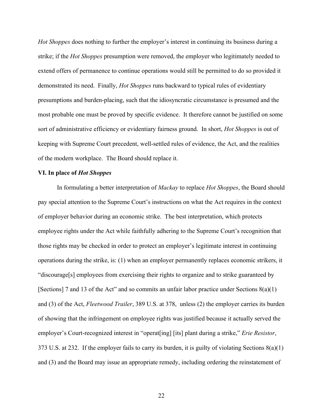*Hot Shoppes* does nothing to further the employer's interest in continuing its business during a strike; if the *Hot Shoppes* presumption were removed, the employer who legitimately needed to extend offers of permanence to continue operations would still be permitted to do so provided it demonstrated its need. Finally, *Hot Shoppes* runs backward to typical rules of evidentiary presumptions and burden-placing, such that the idiosyncratic circumstance is presumed and the most probable one must be proved by specific evidence. It therefore cannot be justified on some sort of administrative efficiency or evidentiary fairness ground. In short, *Hot Shoppes* is out of keeping with Supreme Court precedent, well-settled rules of evidence, the Act, and the realities of the modern workplace. The Board should replace it.

## **VI. In place of** *Hot Shoppes*

In formulating a better interpretation of *Mackay* to replace *Hot Shoppes*, the Board should pay special attention to the Supreme Court's instructions on what the Act requires in the context of employer behavior during an economic strike. The best interpretation, which protects employee rights under the Act while faithfully adhering to the Supreme Court's recognition that those rights may be checked in order to protect an employer's legitimate interest in continuing operations during the strike, is: (1) when an employer permanently replaces economic strikers, it "discourage[s] employees from exercising their rights to organize and to strike guaranteed by [Sections] 7 and 13 of the Act" and so commits an unfair labor practice under Sections 8(a)(1) and (3) of the Act, *Fleetwood Trailer*, 389 U.S. at 378, unless (2) the employer carries its burden of showing that the infringement on employee rights was justified because it actually served the employer's Court-recognized interest in "operat[ing] [its] plant during a strike," *Erie Resistor*, 373 U.S. at 232. If the employer fails to carry its burden, it is guilty of violating Sections  $8(a)(1)$ and (3) and the Board may issue an appropriate remedy, including ordering the reinstatement of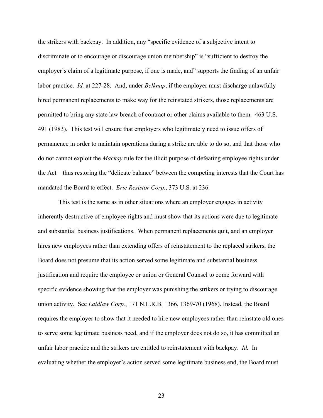the strikers with backpay. In addition, any "specific evidence of a subjective intent to discriminate or to encourage or discourage union membership" is "sufficient to destroy the employer's claim of a legitimate purpose, if one is made, and" supports the finding of an unfair labor practice. *Id.* at 227-28. And, under *Belknap*, if the employer must discharge unlawfully hired permanent replacements to make way for the reinstated strikers, those replacements are permitted to bring any state law breach of contract or other claims available to them. 463 U.S. 491 (1983). This test will ensure that employers who legitimately need to issue offers of permanence in order to maintain operations during a strike are able to do so, and that those who do not cannot exploit the *Mackay* rule for the illicit purpose of defeating employee rights under the Act—thus restoring the "delicate balance" between the competing interests that the Court has mandated the Board to effect. *Erie Resistor Corp.*, 373 U.S. at 236.

 This test is the same as in other situations where an employer engages in activity inherently destructive of employee rights and must show that its actions were due to legitimate and substantial business justifications. When permanent replacements quit, and an employer hires new employees rather than extending offers of reinstatement to the replaced strikers, the Board does not presume that its action served some legitimate and substantial business justification and require the employee or union or General Counsel to come forward with specific evidence showing that the employer was punishing the strikers or trying to discourage union activity. See *Laidlaw Corp.*, 171 N.L.R.B. 1366, 1369-70 (1968). Instead, the Board requires the employer to show that it needed to hire new employees rather than reinstate old ones to serve some legitimate business need, and if the employer does not do so, it has committed an unfair labor practice and the strikers are entitled to reinstatement with backpay. *Id.* In evaluating whether the employer's action served some legitimate business end, the Board must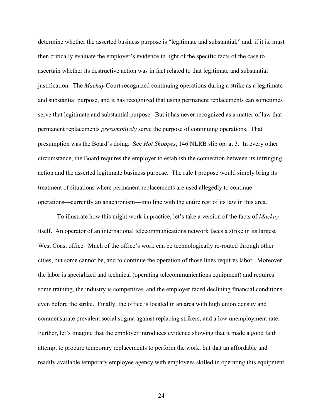determine whether the asserted business purpose is "legitimate and substantial," and, if it is, must then critically evaluate the employer's evidence in light of the specific facts of the case to ascertain whether its destructive action was in fact related to that legitimate and substantial justification. The *Mackay* Court recognized continuing operations during a strike as a legitimate and substantial purpose, and it has recognized that using permanent replacements can sometimes serve that legitimate and substantial purpose. But it has never recognized as a matter of law that permanent replacements *presumptively* serve the purpose of continuing operations. That presumption was the Board's doing. See *Hot Shoppes*, 146 NLRB slip op. at 3. In every other circumstance, the Board requires the employer to establish the connection between its infringing action and the asserted legitimate business purpose. The rule I propose would simply bring its treatment of situations where permanent replacements are used allegedly to continue operations—currently an anachronism—into line with the entire rest of its law in this area.

 To illustrate how this might work in practice, let's take a version of the facts of *Mackay*  itself. An operator of an international telecommunications network faces a strike in its largest West Coast office. Much of the office's work can be technologically re-routed through other cities, but some cannot be, and to continue the operation of those lines requires labor. Moreover, the labor is specialized and technical (operating telecommunications equipment) and requires some training, the industry is competitive, and the employer faced declining financial conditions even before the strike. Finally, the office is located in an area with high union density and commensurate prevalent social stigma against replacing strikers, and a low unemployment rate. Further, let's imagine that the employer introduces evidence showing that it made a good faith attempt to procure temporary replacements to perform the work, but that an affordable and readily available temporary employee agency with employees skilled in operating this equipment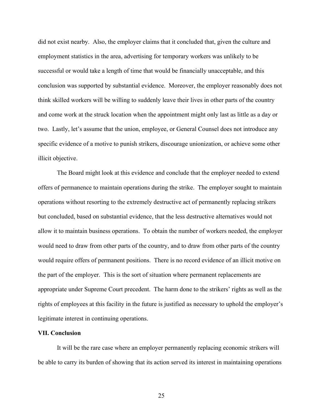did not exist nearby. Also, the employer claims that it concluded that, given the culture and employment statistics in the area, advertising for temporary workers was unlikely to be successful or would take a length of time that would be financially unacceptable, and this conclusion was supported by substantial evidence. Moreover, the employer reasonably does not think skilled workers will be willing to suddenly leave their lives in other parts of the country and come work at the struck location when the appointment might only last as little as a day or two. Lastly, let's assume that the union, employee, or General Counsel does not introduce any specific evidence of a motive to punish strikers, discourage unionization, or achieve some other illicit objective.

 The Board might look at this evidence and conclude that the employer needed to extend offers of permanence to maintain operations during the strike. The employer sought to maintain operations without resorting to the extremely destructive act of permanently replacing strikers but concluded, based on substantial evidence, that the less destructive alternatives would not allow it to maintain business operations. To obtain the number of workers needed, the employer would need to draw from other parts of the country, and to draw from other parts of the country would require offers of permanent positions. There is no record evidence of an illicit motive on the part of the employer. This is the sort of situation where permanent replacements are appropriate under Supreme Court precedent. The harm done to the strikers' rights as well as the rights of employees at this facility in the future is justified as necessary to uphold the employer's legitimate interest in continuing operations.

#### **VII. Conclusion**

 It will be the rare case where an employer permanently replacing economic strikers will be able to carry its burden of showing that its action served its interest in maintaining operations